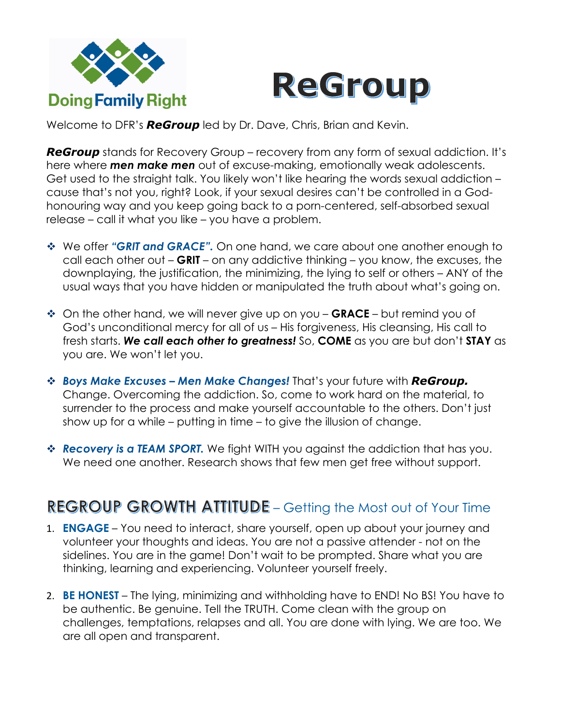



Welcome to DFR's *ReGroup* led by Dr. Dave, Chris, Brian and Kevin.

*ReGroup* stands for Recovery Group – recovery from any form of sexual addiction. It's here where *men make men* out of excuse-making, emotionally weak adolescents. Get used to the straight talk. You likely won't like hearing the words sexual addiction – cause that's not you, right? Look, if your sexual desires can't be controlled in a Godhonouring way and you keep going back to a porn-centered, self-absorbed sexual release – call it what you like – you have a problem.

- **We offer "GRIT and GRACE".** On one hand, we care about one another enough to call each other out – **GRIT** – on any addictive thinking – you know, the excuses, the downplaying, the justification, the minimizing, the lying to self or others – ANY of the usual ways that you have hidden or manipulated the truth about what's going on.
- $\dots$  On the other hand, we will never give up on you GRACE but remind you of God's unconditional mercy for all of us – His forgiveness, His cleansing, His call to fresh starts. *We call each other to greatness!* So, **COME** as you are but don't **STAY** as you are. We won't let you.
- v *Boys Make Excuses – Men Make Changes!* That's your future with *ReGroup.* Change. Overcoming the addiction. So, come to work hard on the material, to surrender to the process and make yourself accountable to the others. Don't just show up for a while – putting in time – to give the illusion of change.
- **Example 20 FIGM SPORT.** We fight WITH you against the addiction that has you. We need one another. Research shows that few men get free without support.

## **REGROUP GROWTH ATTITUDE - Getting the Most out of Your Time**

- 1. **ENGAGE** You need to interact, share yourself, open up about your journey and volunteer your thoughts and ideas. You are not a passive attender - not on the sidelines. You are in the game! Don't wait to be prompted. Share what you are thinking, learning and experiencing. Volunteer yourself freely.
- 2. **BE HONEST** The lying, minimizing and withholding have to END! No BS! You have to be authentic. Be genuine. Tell the TRUTH. Come clean with the group on challenges, temptations, relapses and all. You are done with lying. We are too. We are all open and transparent.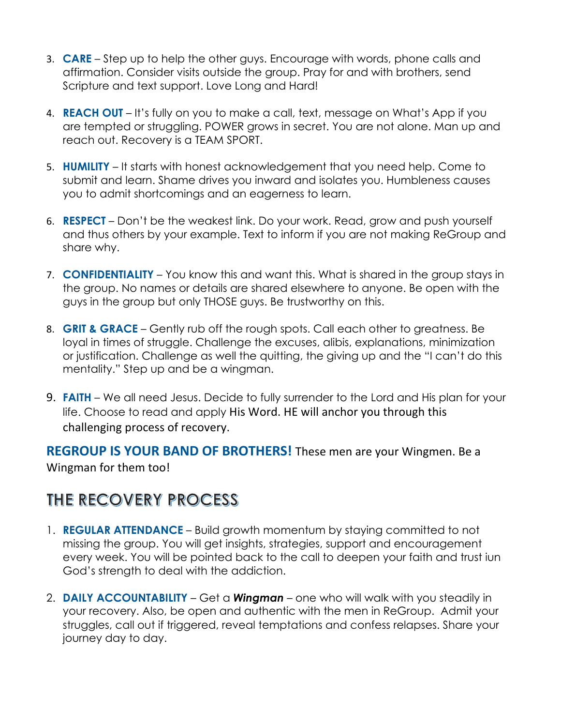- 3. **CARE**  Step up to help the other guys. Encourage with words, phone calls and affirmation. Consider visits outside the group. Pray for and with brothers, send Scripture and text support. Love Long and Hard!
- 4. **REACH OUT** It's fully on you to make a call, text, message on What's App if you are tempted or struggling. POWER grows in secret. You are not alone. Man up and reach out. Recovery is a TEAM SPORT.
- 5. **HUMILITY** It starts with honest acknowledgement that you need help. Come to submit and learn. Shame drives you inward and isolates you. Humbleness causes you to admit shortcomings and an eagerness to learn.
- 6. **RESPECT**  Don't be the weakest link. Do your work. Read, grow and push yourself and thus others by your example. Text to inform if you are not making ReGroup and share why.
- 7. **CONFIDENTIALITY** You know this and want this. What is shared in the group stays in the group. No names or details are shared elsewhere to anyone. Be open with the guys in the group but only THOSE guys. Be trustworthy on this.
- 8. **GRIT & GRACE** Gently rub off the rough spots. Call each other to greatness. Be loyal in times of struggle. Challenge the excuses, alibis, explanations, minimization or justification. Challenge as well the quitting, the giving up and the "I can't do this mentality." Step up and be a wingman.
- 9. **FAITH** We all need Jesus. Decide to fully surrender to the Lord and His plan for your life. Choose to read and apply His Word. HE will anchor you through this challenging process of recovery.

**REGROUP IS YOUR BAND OF BROTHERS!** These men are your Wingmen. Be a Wingman for them too!

## THE RECOVERY PROCESS

- 1. **REGULAR ATTENDANCE** Build growth momentum by staying committed to not missing the group. You will get insights, strategies, support and encouragement every week. You will be pointed back to the call to deepen your faith and trust iun God's strength to deal with the addiction.
- 2. **DAILY ACCOUNTABILITY** Get a *Wingman* one who will walk with you steadily in your recovery. Also, be open and authentic with the men in ReGroup. Admit your struggles, call out if triggered, reveal temptations and confess relapses. Share your journey day to day.